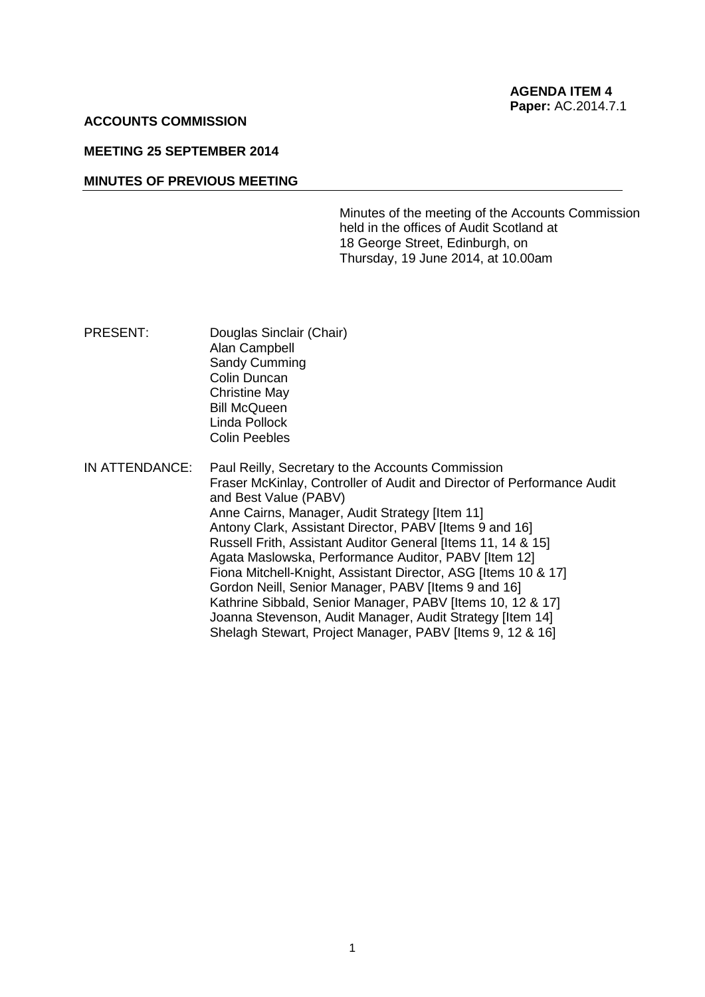#### **ACCOUNTS COMMISSION**

## **MEETING 25 SEPTEMBER 2014**

#### **MINUTES OF PREVIOUS MEETING**

Minutes of the meeting of the Accounts Commission held in the offices of Audit Scotland at 18 George Street, Edinburgh, on Thursday, 19 June 2014, at 10.00am

- PRESENT: Douglas Sinclair (Chair) Alan Campbell Sandy Cumming Colin Duncan Christine May Bill McQueen Linda Pollock Colin Peebles
- IN ATTENDANCE: Paul Reilly, Secretary to the Accounts Commission Fraser McKinlay, Controller of Audit and Director of Performance Audit and Best Value (PABV) Anne Cairns, Manager, Audit Strategy [Item 11] Antony Clark, Assistant Director, PABV [Items 9 and 16] Russell Frith, Assistant Auditor General [Items 11, 14 & 15] Agata Maslowska, Performance Auditor, PABV [Item 12] Fiona Mitchell-Knight, Assistant Director, ASG [Items 10 & 17] Gordon Neill, Senior Manager, PABV [Items 9 and 16] Kathrine Sibbald, Senior Manager, PABV [Items 10, 12 & 17] Joanna Stevenson, Audit Manager, Audit Strategy [Item 14] Shelagh Stewart, Project Manager, PABV [Items 9, 12 & 16]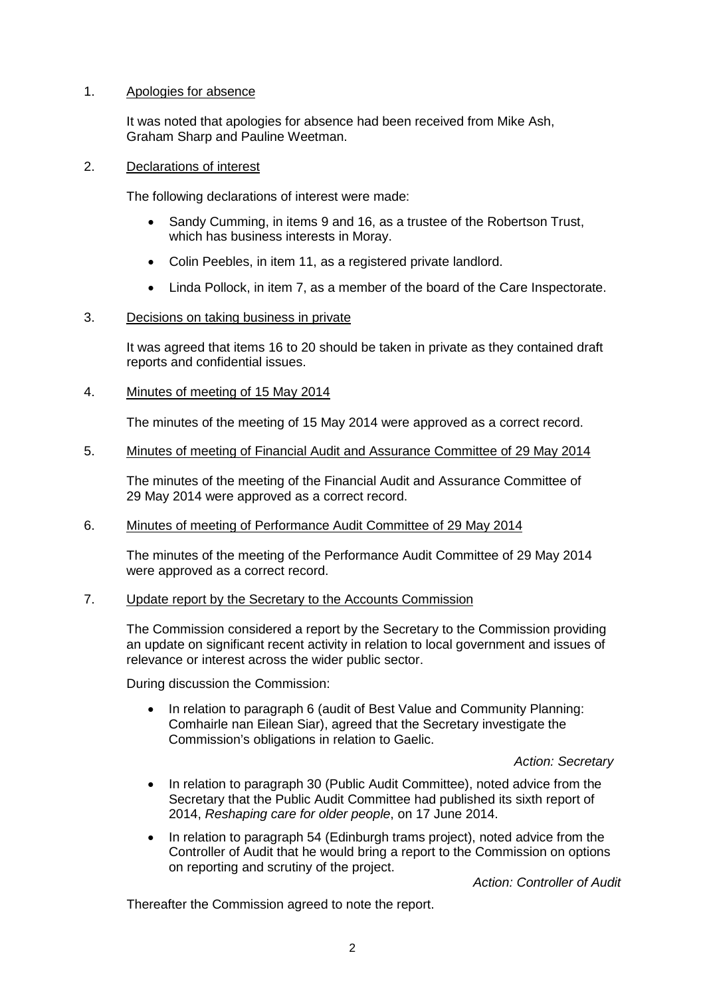# 1. Apologies for absence

It was noted that apologies for absence had been received from Mike Ash, Graham Sharp and Pauline Weetman.

### 2. Declarations of interest

The following declarations of interest were made:

- Sandy Cumming, in items 9 and 16, as a trustee of the Robertson Trust, which has business interests in Moray.
- Colin Peebles, in item 11, as a registered private landlord.
- Linda Pollock, in item 7, as a member of the board of the Care Inspectorate.

## 3. Decisions on taking business in private

It was agreed that items 16 to 20 should be taken in private as they contained draft reports and confidential issues.

## 4. Minutes of meeting of 15 May 2014

The minutes of the meeting of 15 May 2014 were approved as a correct record.

### 5. Minutes of meeting of Financial Audit and Assurance Committee of 29 May 2014

The minutes of the meeting of the Financial Audit and Assurance Committee of 29 May 2014 were approved as a correct record.

#### 6. Minutes of meeting of Performance Audit Committee of 29 May 2014

The minutes of the meeting of the Performance Audit Committee of 29 May 2014 were approved as a correct record.

# 7. Update report by the Secretary to the Accounts Commission

The Commission considered a report by the Secretary to the Commission providing an update on significant recent activity in relation to local government and issues of relevance or interest across the wider public sector.

During discussion the Commission:

• In relation to paragraph 6 (audit of Best Value and Community Planning: Comhairle nan Eilean Siar), agreed that the Secretary investigate the Commission's obligations in relation to Gaelic.

#### *Action: Secretary*

- In relation to paragraph 30 (Public Audit Committee), noted advice from the Secretary that the Public Audit Committee had published its sixth report of 2014, *Reshaping care for older people*, on 17 June 2014.
- In relation to paragraph 54 (Edinburgh trams project), noted advice from the Controller of Audit that he would bring a report to the Commission on options on reporting and scrutiny of the project.

*Action: Controller of Audit*

Thereafter the Commission agreed to note the report.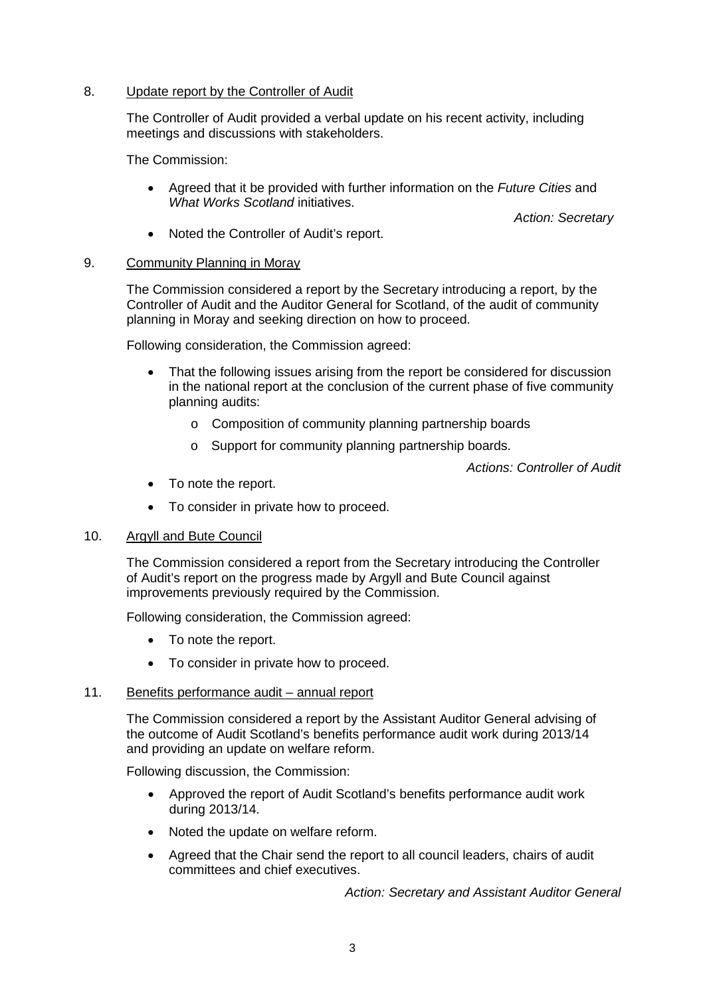## 8. Update report by the Controller of Audit

The Controller of Audit provided a verbal update on his recent activity, including meetings and discussions with stakeholders.

The Commission:

• Agreed that it be provided with further information on the *Future Cities* and *What Works Scotland* initiatives.

*Action: Secretary*

• Noted the Controller of Audit's report.

## 9. Community Planning in Moray

The Commission considered a report by the Secretary introducing a report, by the Controller of Audit and the Auditor General for Scotland, of the audit of community planning in Moray and seeking direction on how to proceed.

Following consideration, the Commission agreed:

- That the following issues arising from the report be considered for discussion in the national report at the conclusion of the current phase of five community planning audits:
	- o Composition of community planning partnership boards
	- o Support for community planning partnership boards.

*Actions: Controller of Audit*

- To note the report.
- To consider in private how to proceed.

#### 10. Argyll and Bute Council

The Commission considered a report from the Secretary introducing the Controller of Audit's report on the progress made by Argyll and Bute Council against improvements previously required by the Commission.

Following consideration, the Commission agreed:

- To note the report.
- To consider in private how to proceed.

#### 11. Benefits performance audit – annual report

The Commission considered a report by the Assistant Auditor General advising of the outcome of Audit Scotland's benefits performance audit work during 2013/14 and providing an update on welfare reform.

Following discussion, the Commission:

- Approved the report of Audit Scotland's benefits performance audit work during 2013/14.
- Noted the update on welfare reform.
- Agreed that the Chair send the report to all council leaders, chairs of audit committees and chief executives.

*Action: Secretary and Assistant Auditor General*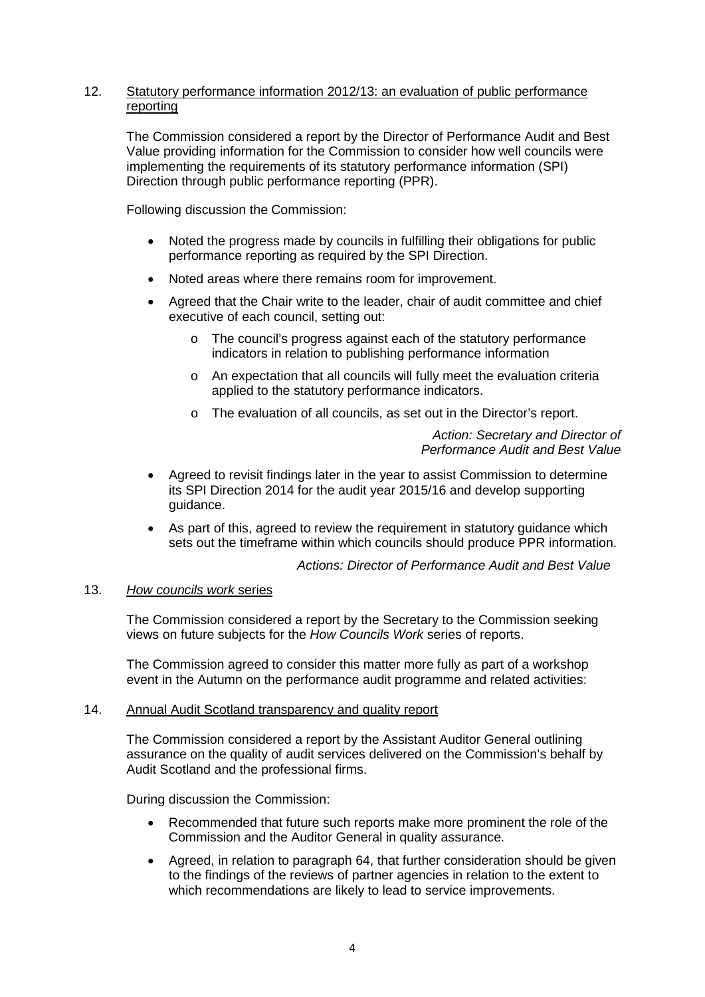# 12. Statutory performance information 2012/13: an evaluation of public performance reporting

The Commission considered a report by the Director of Performance Audit and Best Value providing information for the Commission to consider how well councils were implementing the requirements of its statutory performance information (SPI) Direction through public performance reporting (PPR).

Following discussion the Commission:

- Noted the progress made by councils in fulfilling their obligations for public performance reporting as required by the SPI Direction.
- Noted areas where there remains room for improvement.
- Agreed that the Chair write to the leader, chair of audit committee and chief executive of each council, setting out:
	- o The council's progress against each of the statutory performance indicators in relation to publishing performance information
	- o An expectation that all councils will fully meet the evaluation criteria applied to the statutory performance indicators.
	- o The evaluation of all councils, as set out in the Director's report.

*Action: Secretary and Director of Performance Audit and Best Value*

- Agreed to revisit findings later in the year to assist Commission to determine its SPI Direction 2014 for the audit year 2015/16 and develop supporting guidance.
- As part of this, agreed to review the requirement in statutory guidance which sets out the timeframe within which councils should produce PPR information.

*Actions: Director of Performance Audit and Best Value*

# 13. *How councils work* series

The Commission considered a report by the Secretary to the Commission seeking views on future subjects for the *How Councils Work* series of reports.

The Commission agreed to consider this matter more fully as part of a workshop event in the Autumn on the performance audit programme and related activities:

### 14. Annual Audit Scotland transparency and quality report

The Commission considered a report by the Assistant Auditor General outlining assurance on the quality of audit services delivered on the Commission's behalf by Audit Scotland and the professional firms.

During discussion the Commission:

- Recommended that future such reports make more prominent the role of the Commission and the Auditor General in quality assurance.
- Agreed, in relation to paragraph 64, that further consideration should be given to the findings of the reviews of partner agencies in relation to the extent to which recommendations are likely to lead to service improvements.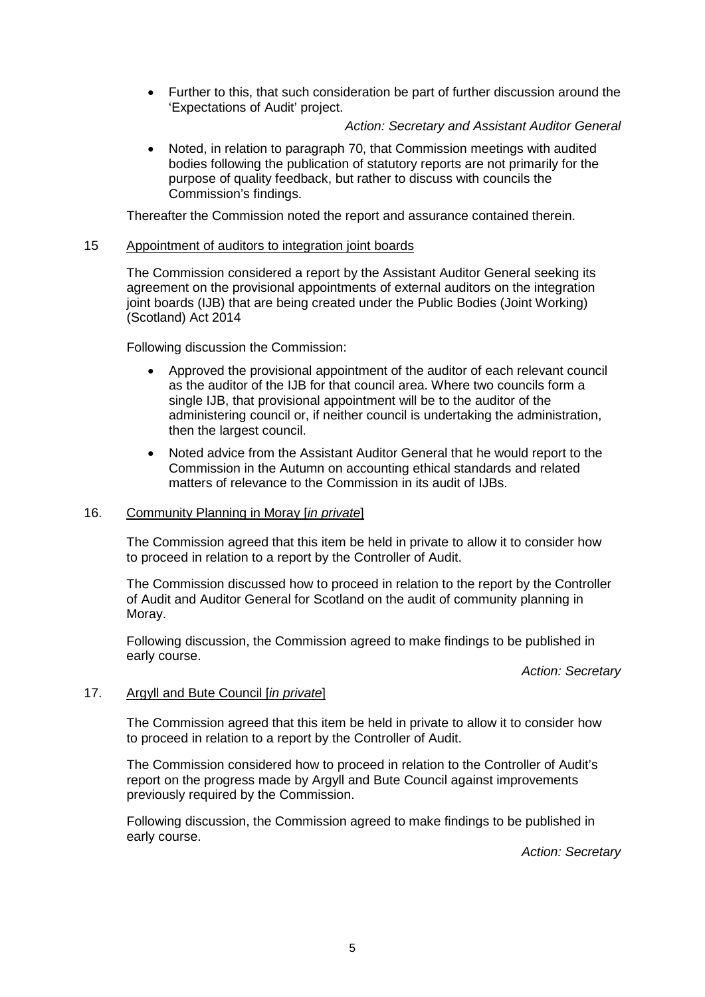• Further to this, that such consideration be part of further discussion around the 'Expectations of Audit' project.

## *Action: Secretary and Assistant Auditor General*

• Noted, in relation to paragraph 70, that Commission meetings with audited bodies following the publication of statutory reports are not primarily for the purpose of quality feedback, but rather to discuss with councils the Commission's findings.

Thereafter the Commission noted the report and assurance contained therein.

## 15 Appointment of auditors to integration joint boards

The Commission considered a report by the Assistant Auditor General seeking its agreement on the provisional appointments of external auditors on the integration joint boards (IJB) that are being created under the Public Bodies (Joint Working) (Scotland) Act 2014

Following discussion the Commission:

- Approved the provisional appointment of the auditor of each relevant council as the auditor of the IJB for that council area. Where two councils form a single IJB, that provisional appointment will be to the auditor of the administering council or, if neither council is undertaking the administration, then the largest council.
- Noted advice from the Assistant Auditor General that he would report to the Commission in the Autumn on accounting ethical standards and related matters of relevance to the Commission in its audit of IJBs.

#### 16. Community Planning in Moray [*in private*]

The Commission agreed that this item be held in private to allow it to consider how to proceed in relation to a report by the Controller of Audit.

The Commission discussed how to proceed in relation to the report by the Controller of Audit and Auditor General for Scotland on the audit of community planning in Moray.

Following discussion, the Commission agreed to make findings to be published in early course.

*Action: Secretary*

#### 17. Argyll and Bute Council [*in private*]

The Commission agreed that this item be held in private to allow it to consider how to proceed in relation to a report by the Controller of Audit.

The Commission considered how to proceed in relation to the Controller of Audit's report on the progress made by Argyll and Bute Council against improvements previously required by the Commission.

Following discussion, the Commission agreed to make findings to be published in early course.

*Action: Secretary*